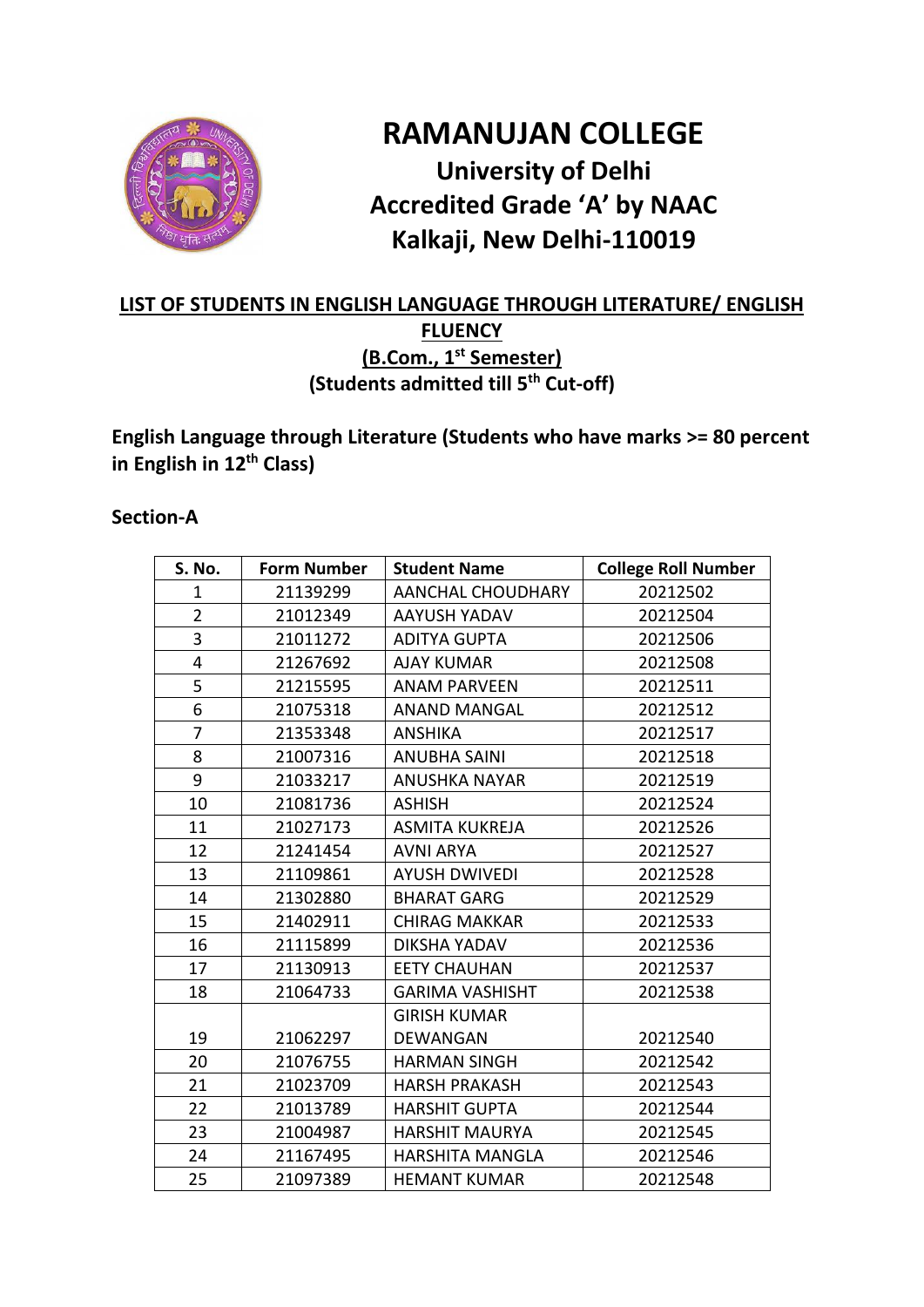

# **RAMANUJAN COLLEGE University of Delhi Accredited Grade 'A' by NAAC Kalkaji, New Delhi-110019**

### **LIST OF STUDENTS IN ENGLISH LANGUAGE THROUGH LITERATURE/ ENGLISH FLUENCY (B.Com., 1st Semester) (Students admitted till 5th Cut-off)**

**English Language through Literature (Students who have marks >= 80 percent in English in 12th Class)**

#### **Section-A**

| S. No.         | <b>Form Number</b> | <b>Student Name</b>      | <b>College Roll Number</b> |
|----------------|--------------------|--------------------------|----------------------------|
| 1              | 21139299           | <b>AANCHAL CHOUDHARY</b> | 20212502                   |
| $\overline{2}$ | 21012349           | AAYUSH YADAV             | 20212504                   |
| 3              | 21011272           | <b>ADITYA GUPTA</b>      | 20212506                   |
| $\overline{4}$ | 21267692           | <b>AJAY KUMAR</b>        | 20212508                   |
| 5              | 21215595           | <b>ANAM PARVEEN</b>      | 20212511                   |
| 6              | 21075318           | <b>ANAND MANGAL</b>      | 20212512                   |
| 7              | 21353348           | ANSHIKA                  | 20212517                   |
| 8              | 21007316           | <b>ANUBHA SAINI</b>      | 20212518                   |
| 9              | 21033217           | <b>ANUSHKA NAYAR</b>     | 20212519                   |
| 10             | 21081736           | <b>ASHISH</b>            | 20212524                   |
| 11             | 21027173           | <b>ASMITA KUKREJA</b>    | 20212526                   |
| 12             | 21241454           | <b>AVNI ARYA</b>         | 20212527                   |
| 13             | 21109861           | <b>AYUSH DWIVEDI</b>     | 20212528                   |
| 14             | 21302880           | <b>BHARAT GARG</b>       | 20212529                   |
| 15             | 21402911           | <b>CHIRAG MAKKAR</b>     | 20212533                   |
| 16             | 21115899           | <b>DIKSHA YADAV</b>      | 20212536                   |
| 17             | 21130913           | <b>EETY CHAUHAN</b>      | 20212537                   |
| 18             | 21064733           | <b>GARIMA VASHISHT</b>   | 20212538                   |
|                |                    | <b>GIRISH KUMAR</b>      |                            |
| 19             | 21062297           | DEWANGAN                 | 20212540                   |
| 20             | 21076755           | <b>HARMAN SINGH</b>      | 20212542                   |
| 21             | 21023709           | <b>HARSH PRAKASH</b>     | 20212543                   |
| 22             | 21013789           | <b>HARSHIT GUPTA</b>     | 20212544                   |
| 23             | 21004987           | <b>HARSHIT MAURYA</b>    | 20212545                   |
| 24             | 21167495           | <b>HARSHITA MANGLA</b>   | 20212546                   |
| 25             | 21097389           | <b>HEMANT KUMAR</b>      | 20212548                   |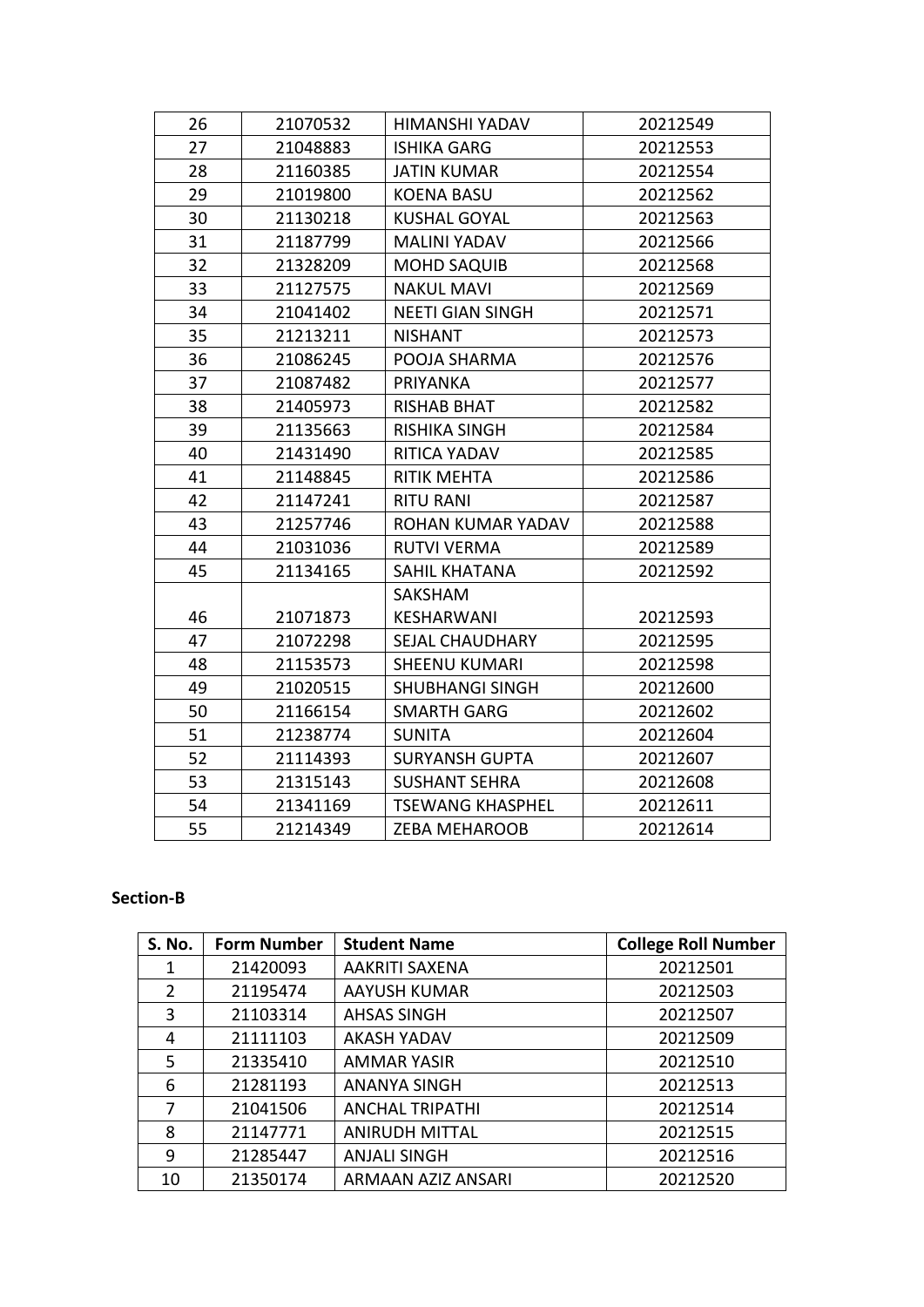| 26 | 21070532 | HIMANSHI YADAV          | 20212549 |
|----|----------|-------------------------|----------|
| 27 | 21048883 | <b>ISHIKA GARG</b>      | 20212553 |
| 28 | 21160385 | <b>JATIN KUMAR</b>      | 20212554 |
| 29 | 21019800 | <b>KOENA BASU</b>       | 20212562 |
| 30 | 21130218 | <b>KUSHAL GOYAL</b>     | 20212563 |
| 31 | 21187799 | <b>MALINI YADAV</b>     | 20212566 |
| 32 | 21328209 | <b>MOHD SAQUIB</b>      | 20212568 |
| 33 | 21127575 | <b>NAKUL MAVI</b>       | 20212569 |
| 34 | 21041402 | <b>NEETI GIAN SINGH</b> | 20212571 |
| 35 | 21213211 | <b>NISHANT</b>          | 20212573 |
| 36 | 21086245 | POOJA SHARMA            | 20212576 |
| 37 | 21087482 | <b>PRIYANKA</b>         | 20212577 |
| 38 | 21405973 | <b>RISHAB BHAT</b>      | 20212582 |
| 39 | 21135663 | <b>RISHIKA SINGH</b>    | 20212584 |
| 40 | 21431490 | RITICA YADAV            | 20212585 |
| 41 | 21148845 | <b>RITIK MEHTA</b>      | 20212586 |
| 42 | 21147241 | <b>RITU RANI</b>        | 20212587 |
| 43 | 21257746 | ROHAN KUMAR YADAV       | 20212588 |
| 44 | 21031036 | <b>RUTVI VERMA</b>      | 20212589 |
| 45 | 21134165 | SAHIL KHATANA           | 20212592 |
|    |          | <b>SAKSHAM</b>          |          |
| 46 | 21071873 | KESHARWANI              | 20212593 |
| 47 | 21072298 | <b>SEJAL CHAUDHARY</b>  | 20212595 |
| 48 | 21153573 | <b>SHEENU KUMARI</b>    | 20212598 |
| 49 | 21020515 | <b>SHUBHANGI SINGH</b>  | 20212600 |
| 50 | 21166154 | <b>SMARTH GARG</b>      | 20212602 |
| 51 | 21238774 | <b>SUNITA</b>           | 20212604 |
| 52 | 21114393 | <b>SURYANSH GUPTA</b>   | 20212607 |
| 53 | 21315143 | <b>SUSHANT SEHRA</b>    | 20212608 |
| 54 | 21341169 | <b>TSEWANG KHASPHEL</b> | 20212611 |
| 55 | 21214349 | <b>ZEBA MEHAROOB</b>    | 20212614 |

#### **Section-B**

| S. No. | <b>Form Number</b> | <b>Student Name</b>    | <b>College Roll Number</b> |
|--------|--------------------|------------------------|----------------------------|
| 1      | 21420093           | AAKRITI SAXENA         | 20212501                   |
| 2      | 21195474           | AAYUSH KUMAR           | 20212503                   |
| 3      | 21103314           | <b>AHSAS SINGH</b>     | 20212507                   |
| 4      | 21111103           | <b>AKASH YADAV</b>     | 20212509                   |
| 5      | 21335410           | <b>AMMAR YASIR</b>     | 20212510                   |
| 6      | 21281193           | <b>ANANYA SINGH</b>    | 20212513                   |
| 7      | 21041506           | <b>ANCHAL TRIPATHI</b> | 20212514                   |
| 8      | 21147771           | <b>ANIRUDH MITTAL</b>  | 20212515                   |
| 9      | 21285447           | <b>ANJALI SINGH</b>    | 20212516                   |
| 10     | 21350174           | ARMAAN AZIZ ANSARI     | 20212520                   |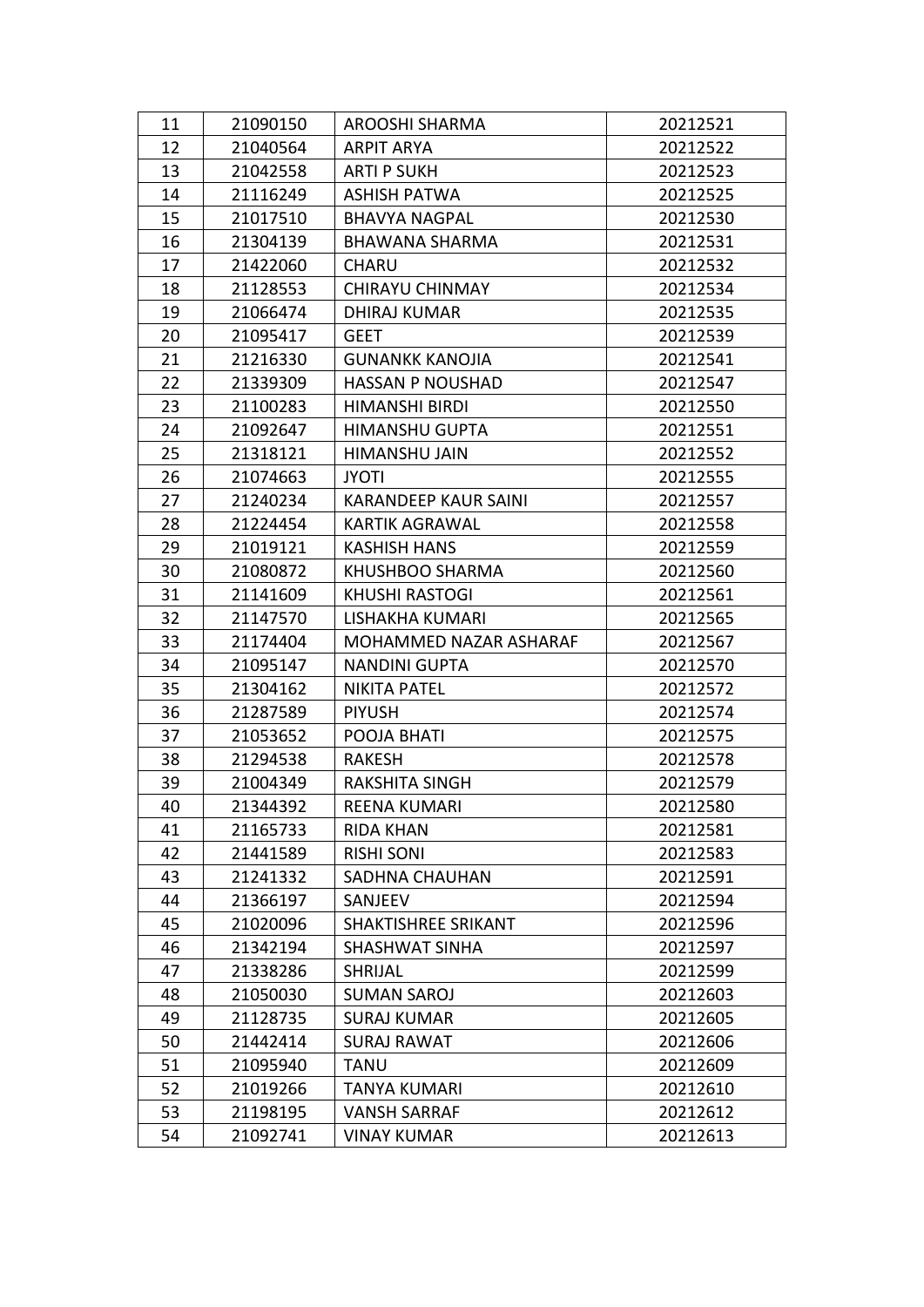| 11 | 21090150 | AROOSHI SHARMA              | 20212521 |
|----|----------|-----------------------------|----------|
| 12 | 21040564 | <b>ARPIT ARYA</b>           | 20212522 |
| 13 | 21042558 | <b>ARTI P SUKH</b>          | 20212523 |
| 14 | 21116249 | <b>ASHISH PATWA</b>         | 20212525 |
| 15 | 21017510 | <b>BHAVYA NAGPAL</b>        | 20212530 |
| 16 | 21304139 | BHAWANA SHARMA              | 20212531 |
| 17 | 21422060 | <b>CHARU</b>                | 20212532 |
| 18 | 21128553 | <b>CHIRAYU CHINMAY</b>      | 20212534 |
| 19 | 21066474 | <b>DHIRAJ KUMAR</b>         | 20212535 |
| 20 | 21095417 | <b>GEET</b>                 | 20212539 |
| 21 | 21216330 | <b>GUNANKK KANOJIA</b>      | 20212541 |
| 22 | 21339309 | <b>HASSAN P NOUSHAD</b>     | 20212547 |
| 23 | 21100283 | <b>HIMANSHI BIRDI</b>       | 20212550 |
| 24 | 21092647 | <b>HIMANSHU GUPTA</b>       | 20212551 |
| 25 | 21318121 | HIMANSHU JAIN               | 20212552 |
| 26 | 21074663 | <b>JYOTI</b>                | 20212555 |
| 27 | 21240234 | <b>KARANDEEP KAUR SAINI</b> | 20212557 |
| 28 | 21224454 | <b>KARTIK AGRAWAL</b>       | 20212558 |
| 29 | 21019121 | <b>KASHISH HANS</b>         | 20212559 |
| 30 | 21080872 | KHUSHBOO SHARMA             | 20212560 |
| 31 | 21141609 | <b>KHUSHI RASTOGI</b>       | 20212561 |
| 32 | 21147570 | LISHAKHA KUMARI             | 20212565 |
| 33 | 21174404 | MOHAMMED NAZAR ASHARAF      | 20212567 |
| 34 | 21095147 | <b>NANDINI GUPTA</b>        | 20212570 |
| 35 | 21304162 | <b>NIKITA PATEL</b>         | 20212572 |
| 36 | 21287589 | <b>PIYUSH</b>               | 20212574 |
| 37 | 21053652 | POOJA BHATI                 | 20212575 |
| 38 | 21294538 | RAKESH                      | 20212578 |
| 39 | 21004349 | <b>RAKSHITA SINGH</b>       | 20212579 |
| 40 | 21344392 | <b>REENA KUMARI</b>         | 20212580 |
| 41 | 21165733 | <b>RIDA KHAN</b>            | 20212581 |
| 42 | 21441589 | <b>RISHI SONI</b>           | 20212583 |
| 43 | 21241332 | SADHNA CHAUHAN              | 20212591 |
| 44 | 21366197 | SANJEEV                     | 20212594 |
| 45 | 21020096 | SHAKTISHREE SRIKANT         | 20212596 |
| 46 | 21342194 | SHASHWAT SINHA              | 20212597 |
| 47 | 21338286 | <b>SHRIJAL</b>              | 20212599 |
| 48 | 21050030 | <b>SUMAN SAROJ</b>          | 20212603 |
| 49 | 21128735 | <b>SURAJ KUMAR</b>          | 20212605 |
| 50 | 21442414 | <b>SURAJ RAWAT</b>          | 20212606 |
| 51 | 21095940 | <b>TANU</b>                 | 20212609 |
| 52 | 21019266 | <b>TANYA KUMARI</b>         | 20212610 |
| 53 | 21198195 | <b>VANSH SARRAF</b>         | 20212612 |
| 54 | 21092741 | <b>VINAY KUMAR</b>          | 20212613 |